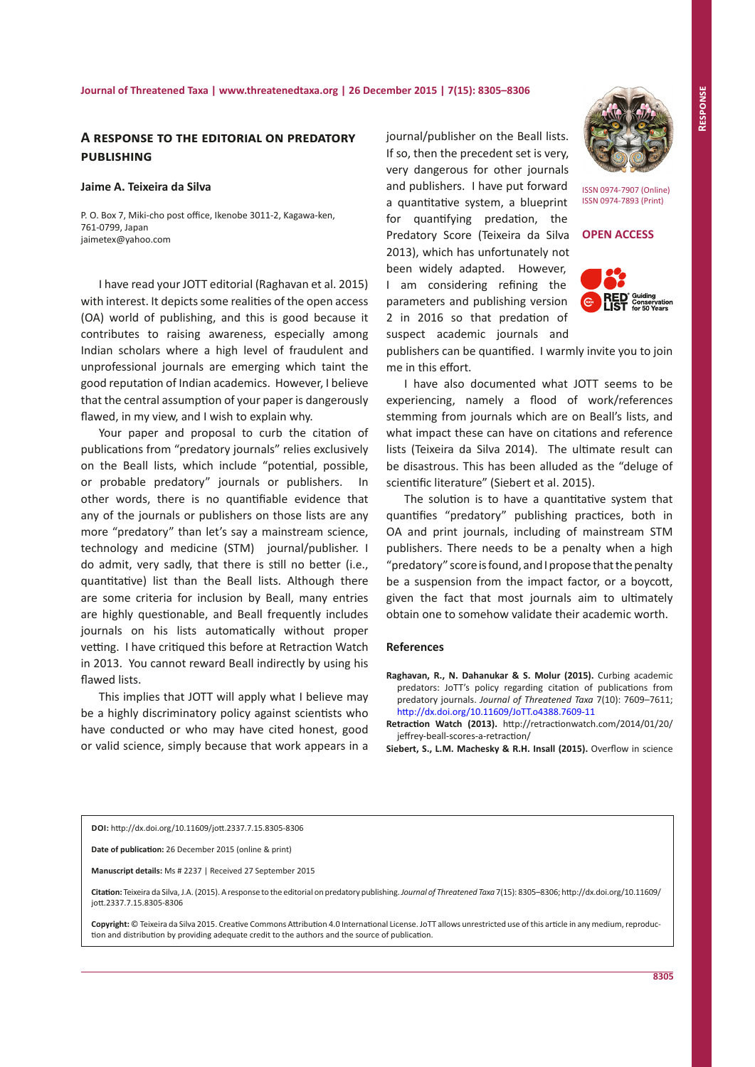# **A response to the editorial on predatory publishing**

# **Jaime A. Teixeira da Silva**

P. O. Box 7, Miki-cho post office, Ikenobe 3011-2, Kagawa-ken, 761-0799, Japan jaimetex@yahoo.com

I have read your JOTT editorial (Raghavan et al. 2015) with interest. It depicts some realities of the open access (OA) world of publishing, and this is good because it contributes to raising awareness, especially among Indian scholars where a high level of fraudulent and unprofessional journals are emerging which taint the good reputation of Indian academics. However, I believe that the central assumption of your paper is dangerously flawed, in my view, and I wish to explain why.

Your paper and proposal to curb the citation of publications from "predatory journals" relies exclusively on the Beall lists, which include "potential, possible, or probable predatory" journals or publishers. In other words, there is no quantifiable evidence that any of the journals or publishers on those lists are any more "predatory" than let's say a mainstream science, technology and medicine (STM) journal/publisher. I do admit, very sadly, that there is still no better (i.e., quantitative) list than the Beall lists. Although there are some criteria for inclusion by Beall, many entries are highly questionable, and Beall frequently includes journals on his lists automatically without proper vetting. I have critiqued this before at Retraction Watch in 2013. You cannot reward Beall indirectly by using his flawed lists.

This implies that JOTT will apply what I believe may be a highly discriminatory policy against scientists who have conducted or who may have cited honest, good or valid science, simply because that work appears in a journal/publisher on the Beall lists. If so, then the precedent set is very, very dangerous for other journals and publishers. I have put forward a quantitative system, a blueprint for quantifying predation, the Predatory Score (Teixeira da Silva 2013), which has unfortunately not been widely adapted. However, I am considering refining the parameters and publishing version 2 in 2016 so that predation of suspect academic journals and



ISSN 0974-7907 (Online) ISSN 0974-7893 (Print)

**OPEN ACCESS**



publishers can be quantified. I warmly invite you to join me in this effort.

I have also documented what JOTT seems to be experiencing, namely a flood of work/references stemming from journals which are on Beall's lists, and what impact these can have on citations and reference lists (Teixeira da Silva 2014). The ultimate result can be disastrous. This has been alluded as the "deluge of scientific literature" (Siebert et al. 2015).

The solution is to have a quantitative system that quantifies "predatory" publishing practices, both in OA and print journals, including of mainstream STM publishers. There needs to be a penalty when a high "predatory" score is found, and I propose that the penalty be a suspension from the impact factor, or a boycott, given the fact that most journals aim to ultimately obtain one to somehow validate their academic worth.

#### **References**

**Raghavan, R., N. Dahanukar & S. Molur (2015).** Curbing academic predators: JoTT's policy regarding citation of publications from predatory journals. *Journal of Threatened Taxa* 7(10): 7609–7611; <http://dx.doi.org/10.11609/JoTT.o4388.7609-11>

**Retraction Watch (2013).** http://retractionwatch.com/2014/01/20/ jeffrey-beall-scores-a-retraction/

**Siebert, S., L.M. Machesky & R.H. Insall (2015).** Overflow in science

### **DOI:** <http://dx.doi.org/10.11609/jott.2337.7.15.8305-8306>

**Date of publication:** 26 December 2015 (online & print)

**Manuscript details:** Ms # 2237 | Received 27 September 2015

**Citation:** Teixeira da Silva, J.A. (2015). A response to the editorial on predatory publishing.*Journal of Threatened Taxa* 7(15): 8305–8306; http://dx.doi.org/10.11609/ jott.2337.7.15.8305-8306

**Copyright:** © Teixeira da Silva 2015. Creative Commons Attribution 4.0 International License. JoTT allows unrestricted use of this article in any medium, reproduction and distribution by providing adequate credit to the authors and the source of publication.